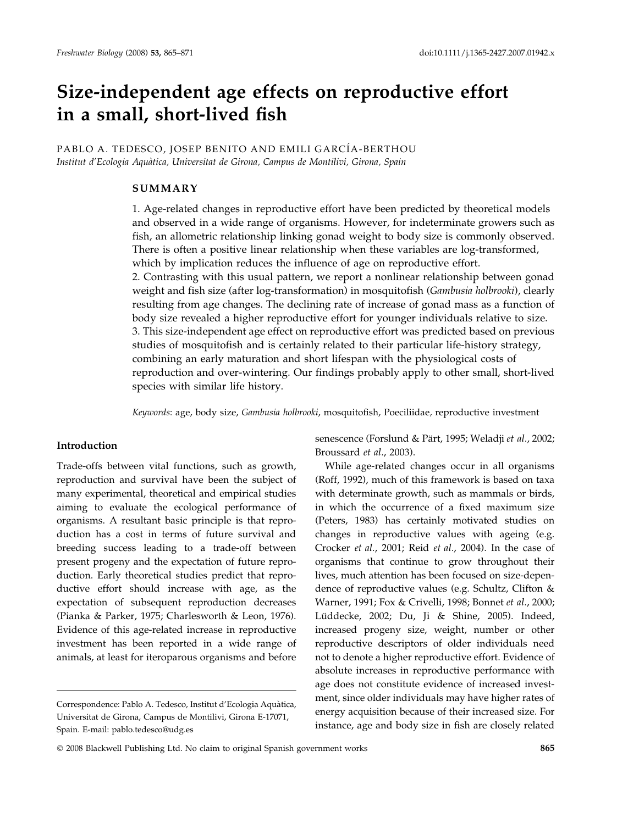# Size-independent age effects on reproductive effort in a small, short-lived fish

PABLO A. TEDESCO, JOSEP BENITO AND EMILI GARCÍA-BERTHOU Institut d'Ecologia Aquàtica, Universitat de Girona, Campus de Montilivi, Girona, Spain

# SUMMARY

1. Age-related changes in reproductive effort have been predicted by theoretical models and observed in a wide range of organisms. However, for indeterminate growers such as fish, an allometric relationship linking gonad weight to body size is commonly observed. There is often a positive linear relationship when these variables are log-transformed, which by implication reduces the influence of age on reproductive effort.

2. Contrasting with this usual pattern, we report a nonlinear relationship between gonad weight and fish size (after log-transformation) in mosquitofish (Gambusia holbrooki), clearly resulting from age changes. The declining rate of increase of gonad mass as a function of body size revealed a higher reproductive effort for younger individuals relative to size. 3. This size-independent age effect on reproductive effort was predicted based on previous studies of mosquitofish and is certainly related to their particular life-history strategy, combining an early maturation and short lifespan with the physiological costs of reproduction and over-wintering. Our findings probably apply to other small, short-lived species with similar life history.

Keywords: age, body size, Gambusia holbrooki, mosquitofish, Poeciliidae, reproductive investment

## Introduction

Trade-offs between vital functions, such as growth, reproduction and survival have been the subject of many experimental, theoretical and empirical studies aiming to evaluate the ecological performance of organisms. A resultant basic principle is that reproduction has a cost in terms of future survival and breeding success leading to a trade-off between present progeny and the expectation of future reproduction. Early theoretical studies predict that reproductive effort should increase with age, as the expectation of subsequent reproduction decreases (Pianka & Parker, 1975; Charlesworth & Leon, 1976). Evidence of this age-related increase in reproductive investment has been reported in a wide range of animals, at least for iteroparous organisms and before senescence (Forslund & Pärt, 1995; Weladji et al., 2002; Broussard et al., 2003).

While age-related changes occur in all organisms (Roff, 1992), much of this framework is based on taxa with determinate growth, such as mammals or birds, in which the occurrence of a fixed maximum size (Peters, 1983) has certainly motivated studies on changes in reproductive values with ageing (e.g. Crocker et al., 2001; Reid et al., 2004). In the case of organisms that continue to grow throughout their lives, much attention has been focused on size-dependence of reproductive values (e.g. Schultz, Clifton & Warner, 1991; Fox & Crivelli, 1998; Bonnet et al., 2000; Lüddecke, 2002; Du, Ji & Shine, 2005). Indeed, increased progeny size, weight, number or other reproductive descriptors of older individuals need not to denote a higher reproductive effort. Evidence of absolute increases in reproductive performance with age does not constitute evidence of increased investment, since older individuals may have higher rates of energy acquisition because of their increased size. For instance, age and body size in fish are closely related

Correspondence: Pablo A. Tedesco, Institut d'Ecologia Aquàtica, Universitat de Girona, Campus de Montilivi, Girona E-17071, Spain. E-mail: pablo.tedesco@udg.es

<sup>© 2008</sup> Blackwell Publishing Ltd. No claim to original Spanish government works  $865$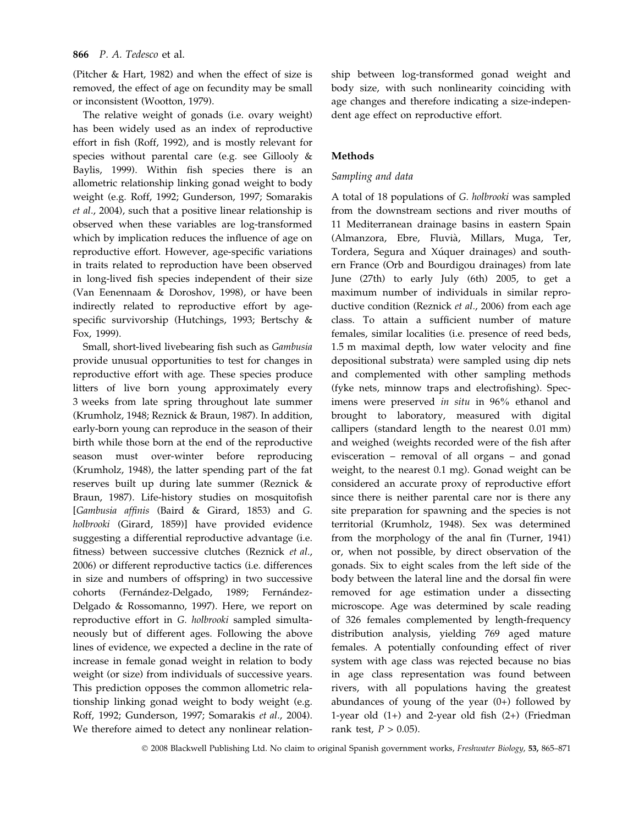#### 866 P. A. Tedesco et al.

(Pitcher & Hart, 1982) and when the effect of size is removed, the effect of age on fecundity may be small or inconsistent (Wootton, 1979).

The relative weight of gonads (i.e. ovary weight) has been widely used as an index of reproductive effort in fish (Roff, 1992), and is mostly relevant for species without parental care (e.g. see Gillooly & Baylis, 1999). Within fish species there is an allometric relationship linking gonad weight to body weight (e.g. Roff, 1992; Gunderson, 1997; Somarakis et al., 2004), such that a positive linear relationship is observed when these variables are log-transformed which by implication reduces the influence of age on reproductive effort. However, age-specific variations in traits related to reproduction have been observed in long-lived fish species independent of their size (Van Eenennaam & Doroshov, 1998), or have been indirectly related to reproductive effort by agespecific survivorship (Hutchings, 1993; Bertschy & Fox, 1999).

Small, short-lived livebearing fish such as Gambusia provide unusual opportunities to test for changes in reproductive effort with age. These species produce litters of live born young approximately every 3 weeks from late spring throughout late summer (Krumholz, 1948; Reznick & Braun, 1987). In addition, early-born young can reproduce in the season of their birth while those born at the end of the reproductive season must over-winter before reproducing (Krumholz, 1948), the latter spending part of the fat reserves built up during late summer (Reznick & Braun, 1987). Life-history studies on mosquitofish [Gambusia affinis (Baird & Girard, 1853) and G. holbrooki (Girard, 1859)] have provided evidence suggesting a differential reproductive advantage (i.e. fitness) between successive clutches (Reznick et al., 2006) or different reproductive tactics (i.e. differences in size and numbers of offspring) in two successive cohorts (Fernández-Delgado, 1989; Fernández-Delgado & Rossomanno, 1997). Here, we report on reproductive effort in G. holbrooki sampled simultaneously but of different ages. Following the above lines of evidence, we expected a decline in the rate of increase in female gonad weight in relation to body weight (or size) from individuals of successive years. This prediction opposes the common allometric relationship linking gonad weight to body weight (e.g. Roff, 1992; Gunderson, 1997; Somarakis et al., 2004). We therefore aimed to detect any nonlinear relationship between log-transformed gonad weight and body size, with such nonlinearity coinciding with age changes and therefore indicating a size-independent age effect on reproductive effort.

# Methods

# Sampling and data

A total of 18 populations of G. holbrooki was sampled from the downstream sections and river mouths of 11 Mediterranean drainage basins in eastern Spain (Almanzora, Ebre, Fluvià, Millars, Muga, Ter, Tordera, Segura and Xúquer drainages) and southern France (Orb and Bourdigou drainages) from late June (27th) to early July (6th) 2005, to get a maximum number of individuals in similar reproductive condition (Reznick et al., 2006) from each age class. To attain a sufficient number of mature females, similar localities (i.e. presence of reed beds, 1.5 m maximal depth, low water velocity and fine depositional substrata) were sampled using dip nets and complemented with other sampling methods (fyke nets, minnow traps and electrofishing). Specimens were preserved in situ in 96% ethanol and brought to laboratory, measured with digital callipers (standard length to the nearest 0.01 mm) and weighed (weights recorded were of the fish after evisceration – removal of all organs – and gonad weight, to the nearest 0.1 mg). Gonad weight can be considered an accurate proxy of reproductive effort since there is neither parental care nor is there any site preparation for spawning and the species is not territorial (Krumholz, 1948). Sex was determined from the morphology of the anal fin (Turner, 1941) or, when not possible, by direct observation of the gonads. Six to eight scales from the left side of the body between the lateral line and the dorsal fin were removed for age estimation under a dissecting microscope. Age was determined by scale reading of 326 females complemented by length-frequency distribution analysis, yielding 769 aged mature females. A potentially confounding effect of river system with age class was rejected because no bias in age class representation was found between rivers, with all populations having the greatest abundances of young of the year (0+) followed by 1-year old (1+) and 2-year old fish (2+) (Friedman rank test,  $P > 0.05$ ).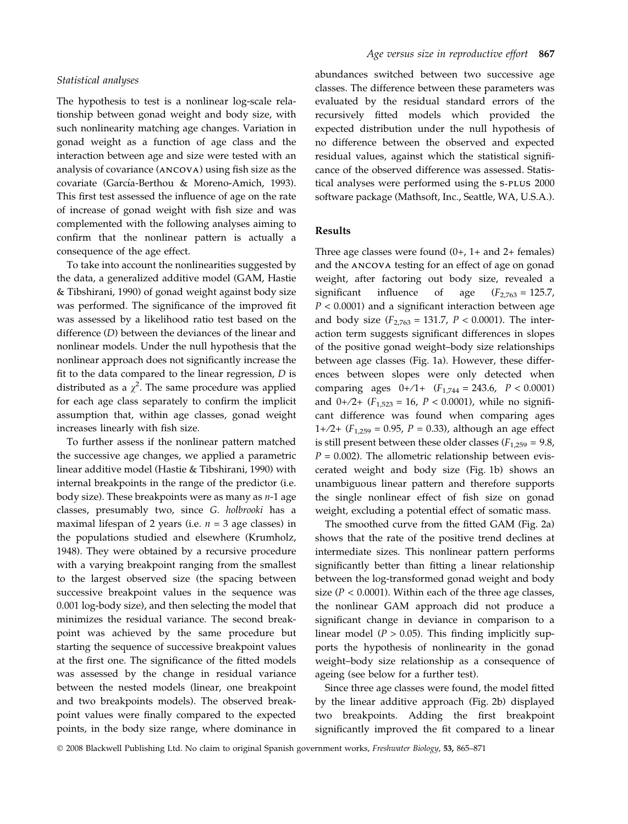#### Statistical analyses

The hypothesis to test is a nonlinear log-scale relationship between gonad weight and body size, with such nonlinearity matching age changes. Variation in gonad weight as a function of age class and the interaction between age and size were tested with an analysis of covariance (ANCOVA) using fish size as the covariate (García-Berthou & Moreno-Amich, 1993). This first test assessed the influence of age on the rate of increase of gonad weight with fish size and was complemented with the following analyses aiming to confirm that the nonlinear pattern is actually a consequence of the age effect.

To take into account the nonlinearities suggested by the data, a generalized additive model (GAM, Hastie & Tibshirani, 1990) of gonad weight against body size was performed. The significance of the improved fit was assessed by a likelihood ratio test based on the difference (D) between the deviances of the linear and nonlinear models. Under the null hypothesis that the nonlinear approach does not significantly increase the fit to the data compared to the linear regression,  $D$  is distributed as a  $\chi^2$ . The same procedure was applied for each age class separately to confirm the implicit assumption that, within age classes, gonad weight increases linearly with fish size.

To further assess if the nonlinear pattern matched the successive age changes, we applied a parametric linear additive model (Hastie & Tibshirani, 1990) with internal breakpoints in the range of the predictor (i.e. body size). These breakpoints were as many as  $n-1$  age classes, presumably two, since G. holbrooki has a maximal lifespan of 2 years (i.e.  $n = 3$  age classes) in the populations studied and elsewhere (Krumholz, 1948). They were obtained by a recursive procedure with a varying breakpoint ranging from the smallest to the largest observed size (the spacing between successive breakpoint values in the sequence was 0.001 log-body size), and then selecting the model that minimizes the residual variance. The second breakpoint was achieved by the same procedure but starting the sequence of successive breakpoint values at the first one. The significance of the fitted models was assessed by the change in residual variance between the nested models (linear, one breakpoint and two breakpoints models). The observed breakpoint values were finally compared to the expected points, in the body size range, where dominance in abundances switched between two successive age classes. The difference between these parameters was evaluated by the residual standard errors of the recursively fitted models which provided the expected distribution under the null hypothesis of no difference between the observed and expected residual values, against which the statistical significance of the observed difference was assessed. Statistical analyses were performed using the S-PLUS 2000 software package (Mathsoft, Inc., Seattle, WA, U.S.A.).

## Results

Three age classes were found  $(0+, 1+$  and  $2+$  females) and the ANCOVA testing for an effect of age on gonad weight, after factoring out body size, revealed a significant influence of age  $(F_{2,763} = 125.7)$ ,  $P < 0.0001$ ) and a significant interaction between age and body size  $(F_{2,763} = 131.7, P < 0.0001)$ . The interaction term suggests significant differences in slopes of the positive gonad weight–body size relationships between age classes (Fig. 1a). However, these differences between slopes were only detected when comparing ages  $0+/1+ (F_{1,744} = 243.6, P < 0.0001)$ and  $0+/2+ (F_{1,523} = 16, P < 0.0001)$ , while no significant difference was found when comparing ages 1+/2+  $(F_{1,259} = 0.95, P = 0.33)$ , although an age effect is still present between these older classes ( $F_{1,259} = 9.8$ ,  $P = 0.002$ ). The allometric relationship between eviscerated weight and body size (Fig. 1b) shows an unambiguous linear pattern and therefore supports the single nonlinear effect of fish size on gonad weight, excluding a potential effect of somatic mass.

The smoothed curve from the fitted GAM (Fig. 2a) shows that the rate of the positive trend declines at intermediate sizes. This nonlinear pattern performs significantly better than fitting a linear relationship between the log-transformed gonad weight and body size ( $P < 0.0001$ ). Within each of the three age classes, the nonlinear GAM approach did not produce a significant change in deviance in comparison to a linear model ( $P > 0.05$ ). This finding implicitly supports the hypothesis of nonlinearity in the gonad weight–body size relationship as a consequence of ageing (see below for a further test).

Since three age classes were found, the model fitted by the linear additive approach (Fig. 2b) displayed two breakpoints. Adding the first breakpoint significantly improved the fit compared to a linear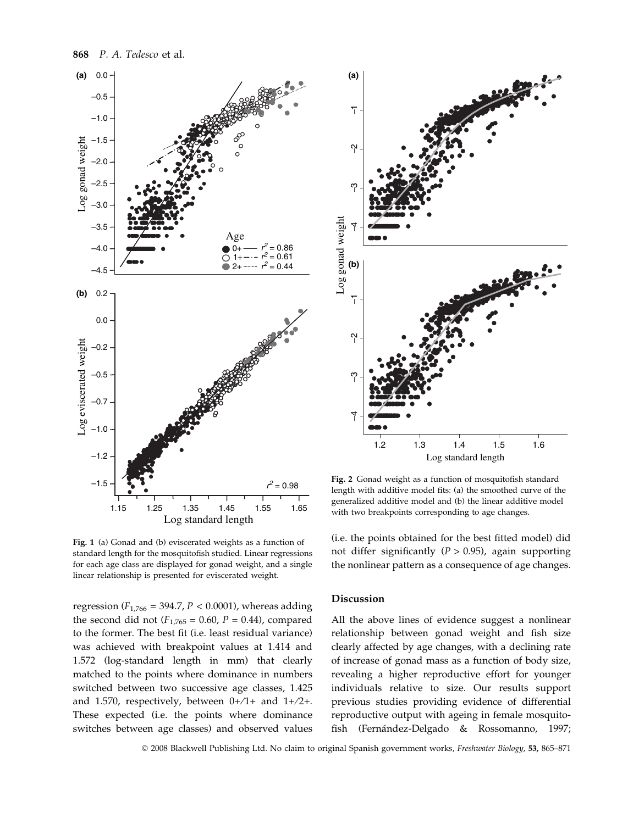



Fig. 2 Gonad weight as a function of mosquitofish standard length with additive model fits: (a) the smoothed curve of the generalized additive model and (b) the linear additive model with two breakpoints corresponding to age changes.

Fig. 1 (a) Gonad and (b) eviscerated weights as a function of standard length for the mosquitofish studied. Linear regressions for each age class are displayed for gonad weight, and a single linear relationship is presented for eviscerated weight.

regression ( $F_{1,766} = 394.7$ ,  $P < 0.0001$ ), whereas adding the second did not ( $F_{1,765} = 0.60$ ,  $P = 0.44$ ), compared to the former. The best fit (i.e. least residual variance) was achieved with breakpoint values at 1.414 and 1.572 (log-standard length in mm) that clearly matched to the points where dominance in numbers switched between two successive age classes, 1.425 and 1.570, respectively, between 0+⁄1+ and 1+⁄2+. These expected (i.e. the points where dominance switches between age classes) and observed values

(i.e. the points obtained for the best fitted model) did not differ significantly ( $P > 0.95$ ), again supporting the nonlinear pattern as a consequence of age changes.

## Discussion

**(a)**

All the above lines of evidence suggest a nonlinear relationship between gonad weight and fish size clearly affected by age changes, with a declining rate of increase of gonad mass as a function of body size, revealing a higher reproductive effort for younger individuals relative to size. Our results support previous studies providing evidence of differential reproductive output with ageing in female mosquitofish (Fernández-Delgado & Rossomanno, 1997;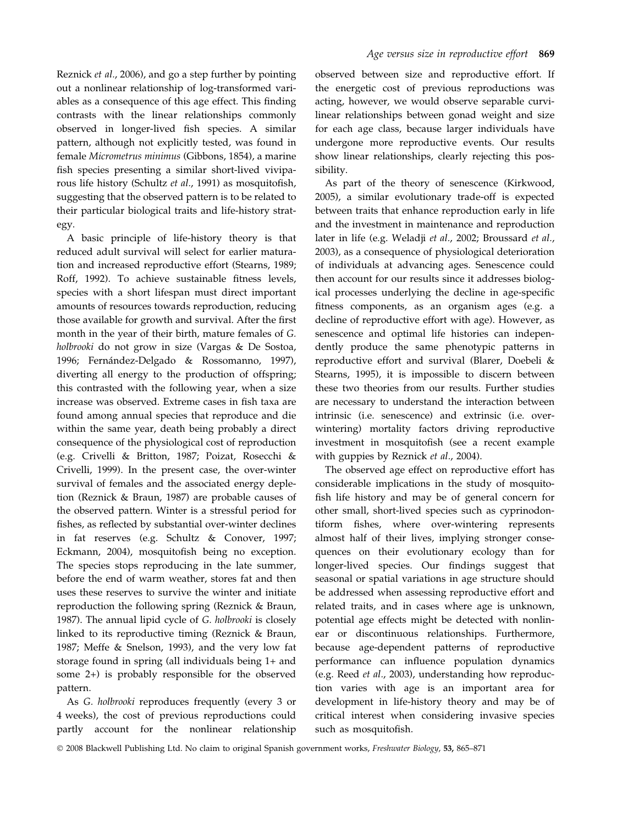Reznick et al., 2006), and go a step further by pointing out a nonlinear relationship of log-transformed variables as a consequence of this age effect. This finding contrasts with the linear relationships commonly observed in longer-lived fish species. A similar pattern, although not explicitly tested, was found in female Micrometrus minimus (Gibbons, 1854), a marine fish species presenting a similar short-lived viviparous life history (Schultz et al., 1991) as mosquitofish, suggesting that the observed pattern is to be related to their particular biological traits and life-history strategy.

A basic principle of life-history theory is that reduced adult survival will select for earlier maturation and increased reproductive effort (Stearns, 1989; Roff, 1992). To achieve sustainable fitness levels, species with a short lifespan must direct important amounts of resources towards reproduction, reducing those available for growth and survival. After the first month in the year of their birth, mature females of G. holbrooki do not grow in size (Vargas & De Sostoa, 1996; Fernández-Delgado & Rossomanno, 1997), diverting all energy to the production of offspring; this contrasted with the following year, when a size increase was observed. Extreme cases in fish taxa are found among annual species that reproduce and die within the same year, death being probably a direct consequence of the physiological cost of reproduction (e.g. Crivelli & Britton, 1987; Poizat, Rosecchi & Crivelli, 1999). In the present case, the over-winter survival of females and the associated energy depletion (Reznick & Braun, 1987) are probable causes of the observed pattern. Winter is a stressful period for fishes, as reflected by substantial over-winter declines in fat reserves (e.g. Schultz & Conover, 1997; Eckmann, 2004), mosquitofish being no exception. The species stops reproducing in the late summer, before the end of warm weather, stores fat and then uses these reserves to survive the winter and initiate reproduction the following spring (Reznick & Braun, 1987). The annual lipid cycle of G. holbrooki is closely linked to its reproductive timing (Reznick & Braun, 1987; Meffe & Snelson, 1993), and the very low fat storage found in spring (all individuals being 1+ and some 2+) is probably responsible for the observed pattern.

As G. holbrooki reproduces frequently (every 3 or 4 weeks), the cost of previous reproductions could partly account for the nonlinear relationship observed between size and reproductive effort. If the energetic cost of previous reproductions was acting, however, we would observe separable curvilinear relationships between gonad weight and size for each age class, because larger individuals have undergone more reproductive events. Our results show linear relationships, clearly rejecting this possibility.

As part of the theory of senescence (Kirkwood, 2005), a similar evolutionary trade-off is expected between traits that enhance reproduction early in life and the investment in maintenance and reproduction later in life (e.g. Weladji et al., 2002; Broussard et al., 2003), as a consequence of physiological deterioration of individuals at advancing ages. Senescence could then account for our results since it addresses biological processes underlying the decline in age-specific fitness components, as an organism ages (e.g. a decline of reproductive effort with age). However, as senescence and optimal life histories can independently produce the same phenotypic patterns in reproductive effort and survival (Blarer, Doebeli & Stearns, 1995), it is impossible to discern between these two theories from our results. Further studies are necessary to understand the interaction between intrinsic (i.e. senescence) and extrinsic (i.e. overwintering) mortality factors driving reproductive investment in mosquitofish (see a recent example with guppies by Reznick et al., 2004).

The observed age effect on reproductive effort has considerable implications in the study of mosquitofish life history and may be of general concern for other small, short-lived species such as cyprinodontiform fishes, where over-wintering represents almost half of their lives, implying stronger consequences on their evolutionary ecology than for longer-lived species. Our findings suggest that seasonal or spatial variations in age structure should be addressed when assessing reproductive effort and related traits, and in cases where age is unknown, potential age effects might be detected with nonlinear or discontinuous relationships. Furthermore, because age-dependent patterns of reproductive performance can influence population dynamics (e.g. Reed et al., 2003), understanding how reproduction varies with age is an important area for development in life-history theory and may be of critical interest when considering invasive species such as mosquitofish.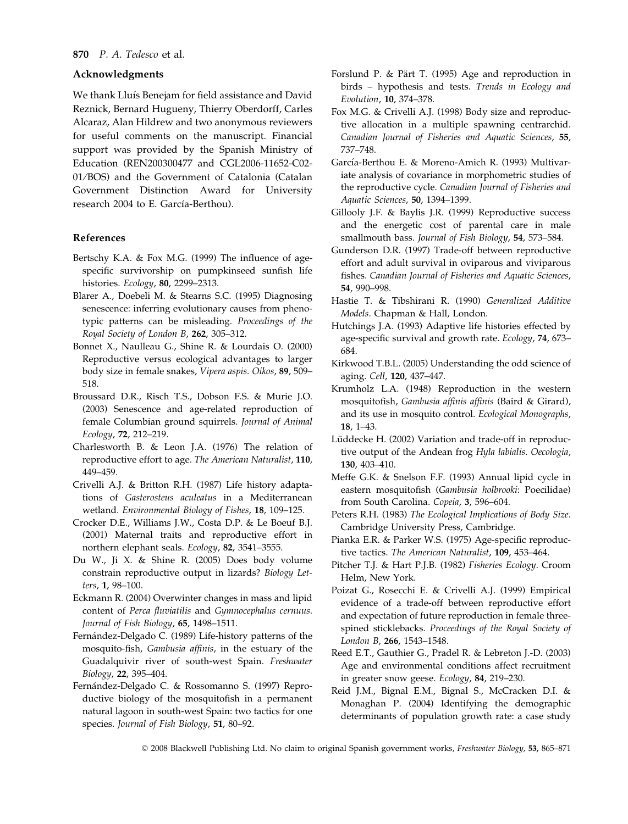## Acknowledgments

We thank Lluís Benejam for field assistance and David Reznick, Bernard Hugueny, Thierry Oberdorff, Carles Alcaraz, Alan Hildrew and two anonymous reviewers for useful comments on the manuscript. Financial support was provided by the Spanish Ministry of Education (REN200300477 and CGL2006-11652-C02- 01/BOS) and the Government of Catalonia (Catalan Government Distinction Award for University research 2004 to E. García-Berthou).

#### References

- Bertschy K.A. & Fox M.G. (1999) The influence of agespecific survivorship on pumpkinseed sunfish life histories. Ecology, 80, 2299–2313.
- Blarer A., Doebeli M. & Stearns S.C. (1995) Diagnosing senescence: inferring evolutionary causes from phenotypic patterns can be misleading. Proceedings of the Royal Society of London B, 262, 305–312.
- Bonnet X., Naulleau G., Shine R. & Lourdais O. (2000) Reproductive versus ecological advantages to larger body size in female snakes, Vipera aspis. Oikos, 89, 509– 518.
- Broussard D.R., Risch T.S., Dobson F.S. & Murie J.O. (2003) Senescence and age-related reproduction of female Columbian ground squirrels. Journal of Animal Ecology, 72, 212–219.
- Charlesworth B. & Leon J.A. (1976) The relation of reproductive effort to age. The American Naturalist, 110, 449–459.
- Crivelli A.J. & Britton R.H. (1987) Life history adaptations of Gasterosteus aculeatus in a Mediterranean wetland. Environmental Biology of Fishes, 18, 109–125.
- Crocker D.E., Williams J.W., Costa D.P. & Le Boeuf B.J. (2001) Maternal traits and reproductive effort in northern elephant seals. Ecology, 82, 3541–3555.
- Du W., Ji X. & Shine R. (2005) Does body volume constrain reproductive output in lizards? Biology Letters, 1, 98–100.
- Eckmann R. (2004) Overwinter changes in mass and lipid content of Perca fluviatilis and Gymnocephalus cernuus. Journal of Fish Biology, 65, 1498–1511.
- Fernández-Delgado C. (1989) Life-history patterns of the mosquito-fish, Gambusia affinis, in the estuary of the Guadalquivir river of south-west Spain. Freshwater Biology, 22, 395–404.
- Fernández-Delgado C. & Rossomanno S. (1997) Reproductive biology of the mosquitofish in a permanent natural lagoon in south-west Spain: two tactics for one species. Journal of Fish Biology, 51, 80–92.
- Forslund P. & Pärt T. (1995) Age and reproduction in birds – hypothesis and tests. Trends in Ecology and Evolution, 10, 374–378.
- Fox M.G. & Crivelli A.J. (1998) Body size and reproductive allocation in a multiple spawning centrarchid. Canadian Journal of Fisheries and Aquatic Sciences, 55, 737–748.
- García-Berthou E. & Moreno-Amich R. (1993) Multivariate analysis of covariance in morphometric studies of the reproductive cycle. Canadian Journal of Fisheries and Aquatic Sciences, 50, 1394–1399.
- Gillooly J.F. & Baylis J.R. (1999) Reproductive success and the energetic cost of parental care in male smallmouth bass. Journal of Fish Biology, 54, 573–584.
- Gunderson D.R. (1997) Trade-off between reproductive effort and adult survival in oviparous and viviparous fishes. Canadian Journal of Fisheries and Aquatic Sciences, 54, 990–998.
- Hastie T. & Tibshirani R. (1990) Generalized Additive Models. Chapman & Hall, London.
- Hutchings J.A. (1993) Adaptive life histories effected by age-specific survival and growth rate. Ecology, 74, 673– 684.
- Kirkwood T.B.L. (2005) Understanding the odd science of aging. Cell, 120, 437–447.
- Krumholz L.A. (1948) Reproduction in the western mosquitofish, Gambusia affinis affinis (Baird & Girard), and its use in mosquito control. Ecological Monographs, 18, 1–43.
- Lüddecke H. (2002) Variation and trade-off in reproductive output of the Andean frog Hyla labialis. Oecologia, 130, 403–410.
- Meffe G.K. & Snelson F.F. (1993) Annual lipid cycle in eastern mosquitofish (Gambusia holbrooki: Poecilidae) from South Carolina. Copeia, 3, 596–604.
- Peters R.H. (1983) The Ecological Implications of Body Size. Cambridge University Press, Cambridge.
- Pianka E.R. & Parker W.S. (1975) Age-specific reproductive tactics. The American Naturalist, 109, 453–464.
- Pitcher T.J. & Hart P.J.B. (1982) Fisheries Ecology. Croom Helm, New York.
- Poizat G., Rosecchi E. & Crivelli A.J. (1999) Empirical evidence of a trade-off between reproductive effort and expectation of future reproduction in female threespined sticklebacks. Proceedings of the Royal Society of London B, 266, 1543–1548.
- Reed E.T., Gauthier G., Pradel R. & Lebreton J.-D. (2003) Age and environmental conditions affect recruitment in greater snow geese. Ecology, 84, 219–230.
- Reid J.M., Bignal E.M., Bignal S., McCracken D.I. & Monaghan P. (2004) Identifying the demographic determinants of population growth rate: a case study